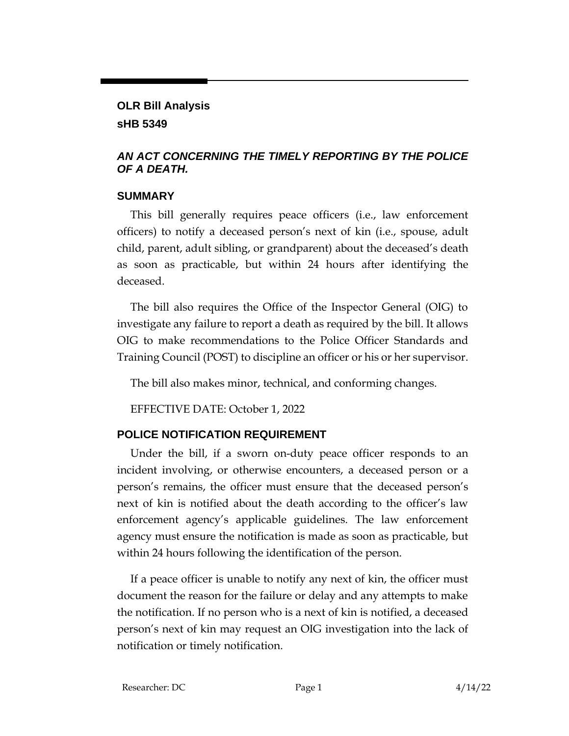### **OLR Bill Analysis**

### **sHB 5349**

# *AN ACT CONCERNING THE TIMELY REPORTING BY THE POLICE OF A DEATH.*

### **SUMMARY**

This bill generally requires peace officers (i.e., law enforcement officers) to notify a deceased person's next of kin (i.e., spouse, adult child, parent, adult sibling, or grandparent) about the deceased's death as soon as practicable, but within 24 hours after identifying the deceased.

The bill also requires the Office of the Inspector General (OIG) to investigate any failure to report a death as required by the bill. It allows OIG to make recommendations to the Police Officer Standards and Training Council (POST) to discipline an officer or his or her supervisor.

The bill also makes minor, technical, and conforming changes.

EFFECTIVE DATE: October 1, 2022

# **POLICE NOTIFICATION REQUIREMENT**

Under the bill, if a sworn on-duty peace officer responds to an incident involving, or otherwise encounters, a deceased person or a person's remains, the officer must ensure that the deceased person's next of kin is notified about the death according to the officer's law enforcement agency's applicable guidelines. The law enforcement agency must ensure the notification is made as soon as practicable, but within 24 hours following the identification of the person.

If a peace officer is unable to notify any next of kin, the officer must document the reason for the failure or delay and any attempts to make the notification. If no person who is a next of kin is notified, a deceased person's next of kin may request an OIG investigation into the lack of notification or timely notification.